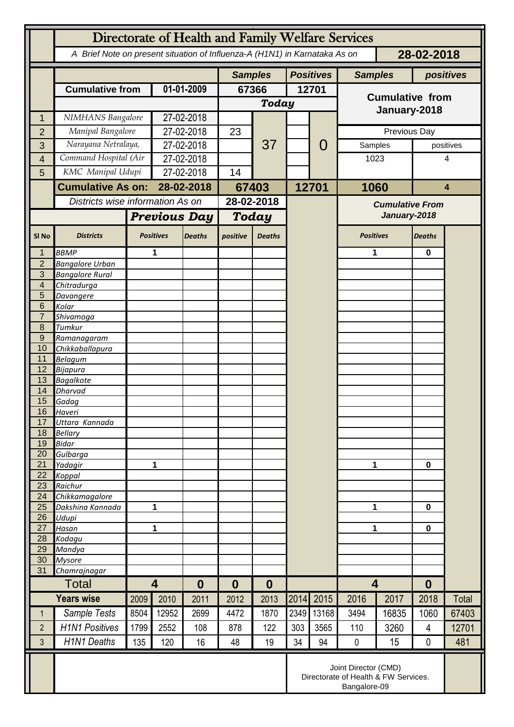|                     | Directorate of Health and Family Welfare Services                                        |                                                                              |                                             |               |                  |                  |                  |                        |                         |              |                  |                         |  |
|---------------------|------------------------------------------------------------------------------------------|------------------------------------------------------------------------------|---------------------------------------------|---------------|------------------|------------------|------------------|------------------------|-------------------------|--------------|------------------|-------------------------|--|
|                     | A Brief Note on present situation of Influenza-A (H1N1) in Karnataka As on<br>28-02-2018 |                                                                              |                                             |               |                  |                  |                  |                        |                         |              |                  |                         |  |
|                     |                                                                                          |                                                                              |                                             |               | <b>Samples</b>   |                  | <b>Positives</b> |                        | <b>Samples</b>          |              | positives        |                         |  |
|                     | <b>Cumulative from</b>                                                                   |                                                                              | 01-01-2009                                  |               | 67366            |                  | 12701            |                        | <b>Cumulative from</b>  |              |                  |                         |  |
|                     |                                                                                          |                                                                              |                                             |               | Today            |                  |                  |                        |                         |              |                  |                         |  |
| 1                   | NIMHANS Bangalore                                                                        |                                                                              | 27-02-2018                                  |               |                  |                  |                  |                        |                         | January-2018 |                  |                         |  |
| $\overline{2}$      |                                                                                          | Manipal Bangalore                                                            |                                             | 27-02-2018    |                  |                  |                  |                        |                         | Previous Day |                  |                         |  |
| 3                   | Narayana Netralaya,                                                                      |                                                                              | 27-02-2018                                  |               |                  | 37               |                  | O                      | Samples                 |              |                  | positives               |  |
| 4                   | Command Hospital (Air                                                                    |                                                                              | 27-02-2018                                  |               | 14               |                  |                  |                        | 1023                    | 4            |                  |                         |  |
| 5                   | KMC Manipal Udupi                                                                        |                                                                              |                                             | 27-02-2018    |                  |                  |                  |                        |                         |              |                  |                         |  |
|                     | <b>Cumulative As on:</b>                                                                 |                                                                              | 28-02-2018                                  |               | 67403            |                  | 12701            |                        | 1060                    |              |                  | $\overline{\mathbf{4}}$ |  |
|                     | Districts wise information As on                                                         |                                                                              |                                             | 28-02-2018    |                  |                  |                  | <b>Cumulative From</b> |                         |              |                  |                         |  |
|                     |                                                                                          | <b>Previous Day</b>                                                          |                                             |               | <b>Today</b>     |                  |                  | January-2018           |                         |              |                  |                         |  |
| SI <sub>No</sub>    | <b>Districts</b>                                                                         |                                                                              | <b>Positives</b>                            | <b>Deaths</b> | positive         | <b>Deaths</b>    |                  |                        | <b>Positives</b>        |              | <b>Deaths</b>    |                         |  |
| $\mathbf 1$         | <b>BBMP</b>                                                                              |                                                                              | 1                                           |               |                  |                  |                  |                        | 1                       |              | $\mathbf 0$      |                         |  |
| $\overline{2}$<br>3 | <b>Bangalore Urban</b><br><b>Bangalore Rural</b>                                         |                                                                              |                                             |               |                  |                  |                  |                        |                         |              |                  |                         |  |
| 4                   | Chitradurga                                                                              |                                                                              |                                             |               |                  |                  |                  |                        |                         |              |                  |                         |  |
| 5                   | Davangere                                                                                |                                                                              |                                             |               |                  |                  |                  |                        |                         |              |                  |                         |  |
| 6                   | Kolar                                                                                    |                                                                              |                                             |               |                  |                  |                  |                        |                         |              |                  |                         |  |
| $\overline{7}$      | Shivamoga                                                                                |                                                                              |                                             |               |                  |                  |                  |                        |                         |              |                  |                         |  |
| 8                   | Tumkur                                                                                   |                                                                              |                                             |               |                  |                  |                  |                        |                         |              |                  |                         |  |
| $\overline{9}$      | Ramanagaram                                                                              |                                                                              |                                             |               |                  |                  |                  |                        |                         |              |                  |                         |  |
| 10<br>11            | Chikkaballapura<br><b>Belagum</b>                                                        |                                                                              |                                             |               |                  |                  |                  |                        |                         |              |                  |                         |  |
| 12                  | Bijapura                                                                                 |                                                                              |                                             |               |                  |                  |                  |                        |                         |              |                  |                         |  |
| 13                  | <b>Bagalkote</b>                                                                         |                                                                              |                                             |               |                  |                  |                  |                        |                         |              |                  |                         |  |
| 14                  | Dharvad                                                                                  |                                                                              |                                             |               |                  |                  |                  |                        |                         |              |                  |                         |  |
| 15                  | Gadag                                                                                    |                                                                              |                                             |               |                  |                  |                  |                        |                         |              |                  |                         |  |
| 16                  | Haveri                                                                                   |                                                                              |                                             |               |                  |                  |                  |                        |                         |              |                  |                         |  |
| 17                  | Uttara Kannada                                                                           |                                                                              |                                             |               |                  |                  |                  |                        |                         |              |                  |                         |  |
| 18<br>19            | <b>Bellary</b><br><b>Bidar</b>                                                           |                                                                              |                                             |               |                  |                  |                  |                        |                         |              |                  |                         |  |
| 20                  | Gulbarga                                                                                 |                                                                              |                                             |               |                  |                  |                  |                        |                         |              |                  |                         |  |
| 21                  | Yadagir                                                                                  |                                                                              | 1                                           |               |                  |                  |                  |                        | 1                       |              |                  | $\mathbf 0$             |  |
| 22                  | Koppal                                                                                   |                                                                              |                                             |               |                  |                  |                  |                        |                         |              |                  |                         |  |
| 23                  | Raichur                                                                                  |                                                                              |                                             |               |                  |                  |                  |                        |                         |              |                  |                         |  |
| 24                  | Chikkamagalore                                                                           |                                                                              |                                             |               |                  |                  |                  |                        |                         |              |                  |                         |  |
| 25                  | Dakshina Kannada                                                                         | 1                                                                            |                                             |               |                  |                  |                  |                        | 1                       |              | 0                |                         |  |
| 26<br>27            | Udupi<br>Hasan                                                                           | 1                                                                            |                                             |               |                  |                  |                  |                        | 1                       |              | $\mathbf 0$      |                         |  |
| 28                  | Kodagu                                                                                   |                                                                              |                                             |               |                  |                  |                  |                        |                         |              |                  |                         |  |
| 29                  | Mandya                                                                                   |                                                                              |                                             |               |                  |                  |                  |                        |                         |              |                  |                         |  |
| 30                  | <b>Mysore</b>                                                                            |                                                                              |                                             |               |                  |                  |                  |                        |                         |              |                  |                         |  |
| 31                  | Chamrajnagar                                                                             |                                                                              |                                             |               |                  |                  |                  |                        |                         |              |                  |                         |  |
|                     | Total                                                                                    |                                                                              | $\overline{\mathbf{4}}$<br>$\boldsymbol{0}$ |               | $\boldsymbol{0}$ | $\boldsymbol{0}$ |                  |                        | $\overline{\mathbf{4}}$ |              | $\boldsymbol{0}$ |                         |  |
|                     | <b>Years wise</b>                                                                        | 2009                                                                         | 2010                                        | 2011          | 2012             | 2013             | 2014             | 2015                   | 2016                    | 2017         | 2018             | Total                   |  |
| $\mathbf{1}$        | Sample Tests                                                                             | 8504                                                                         | 12952                                       | 2699          | 4472             | 1870             | 2349             | 13168                  | 3494                    | 16835        | 1060             | 67403                   |  |
| $\overline{2}$      | <b>H1N1 Positives</b>                                                                    | 1799                                                                         | 2552                                        | 108           | 878              | 122              | 303              | 3565                   | 110                     | 3260         | 4                | 12701                   |  |
| 3                   | H1N1 Deaths                                                                              | 135                                                                          | 120                                         | 16            | 48               | 19               | 34               | 94                     | $\pmb{0}$               | 15           | 0                | 481                     |  |
|                     |                                                                                          | Joint Director (CMD)<br>Directorate of Health & FW Services.<br>Bangalore-09 |                                             |               |                  |                  |                  |                        |                         |              |                  |                         |  |